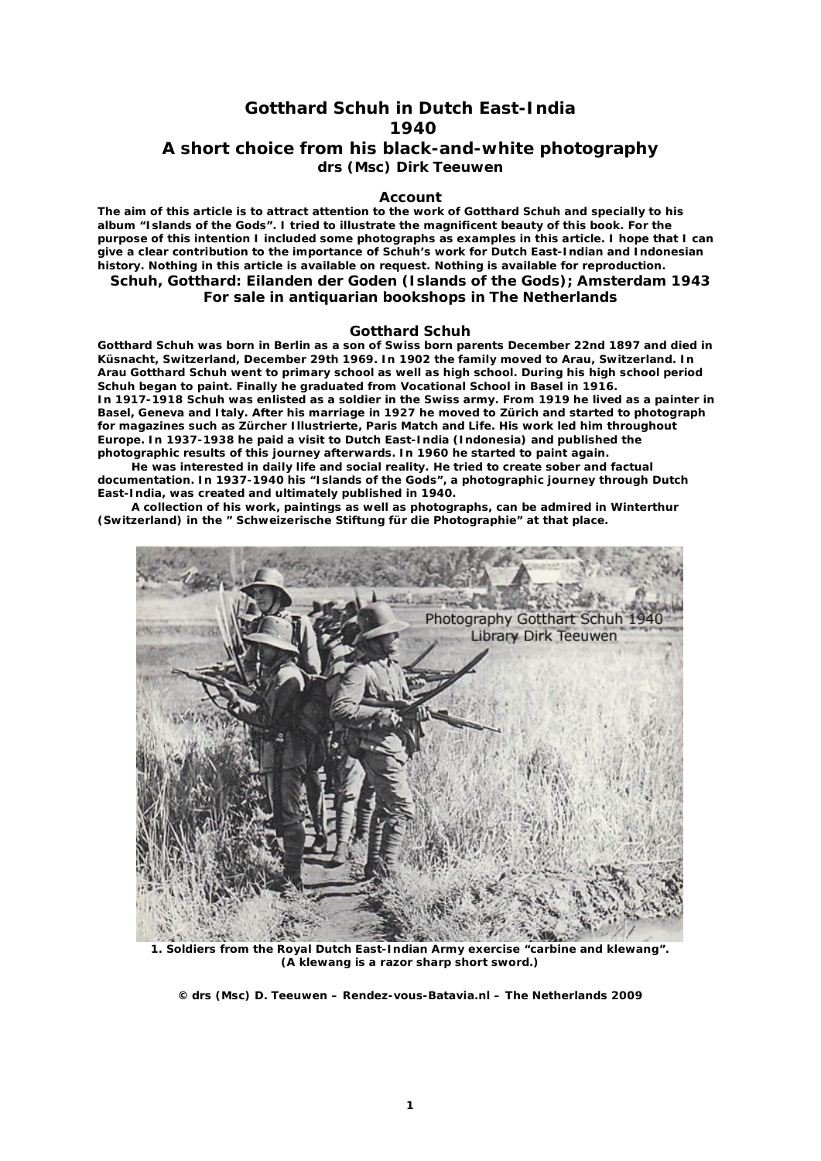# **Gotthard Schuh in Dutch East-India 1940**

# **A short choice from his black-and-white photography drs (Msc) Dirk Teeuwen**

### **Account**

**The aim of this article is to attract attention to the work of Gotthard Schuh and specially to his album "Islands of the Gods". I tried to illustrate the magnificent beauty of this book. For the purpose of this intention I included some photographs as examples in this article. I hope that I can give a clear contribution to the importance of Schuh's work for Dutch East-Indian and Indonesian history. Nothing in this article is available on request. Nothing is available for reproduction.** 

## **Schuh, Gotthard: Eilanden der Goden (Islands of the Gods); Amsterdam 1943 For sale in antiquarian bookshops in The Netherlands**

#### **Gotthard Schuh**

**Gotthard Schuh was born in Berlin as a son of Swiss born parents December 22nd 1897 and died in Küsnacht, Switzerland, December 29th 1969. In 1902 the family moved to Arau, Switzerland. In Arau Gotthard Schuh went to primary school as well as high school. During his high school period Schuh began to paint. Finally he graduated from Vocational School in Basel in 1916. In 1917-1918 Schuh was enlisted as a soldier in the Swiss army. From 1919 he lived as a painter in Basel, Geneva and Italy. After his marriage in 1927 he moved to Zürich and started to photograph for magazines such as Zürcher Illustrierte, Paris Match and Life. His work led him throughout Europe. In 1937-1938 he paid a visit to Dutch East-India (Indonesia) and published the photographic results of this journey afterwards. In 1960 he started to paint again.**

 **He was interested in daily life and social reality. He tried to create sober and factual documentation. In 1937-1940 his "Islands of the Gods", a photographic journey through Dutch East-India, was created and ultimately published in 1940.**

 **A collection of his work, paintings as well as photographs, can be admired in Winterthur (Switzerland) in the " Schweizerische Stiftung für die Photographie" at that place.**



**1. Soldiers from the Royal Dutch East-Indian Army exercise "carbine and klewang". (A klewang is a razor sharp short sword.)**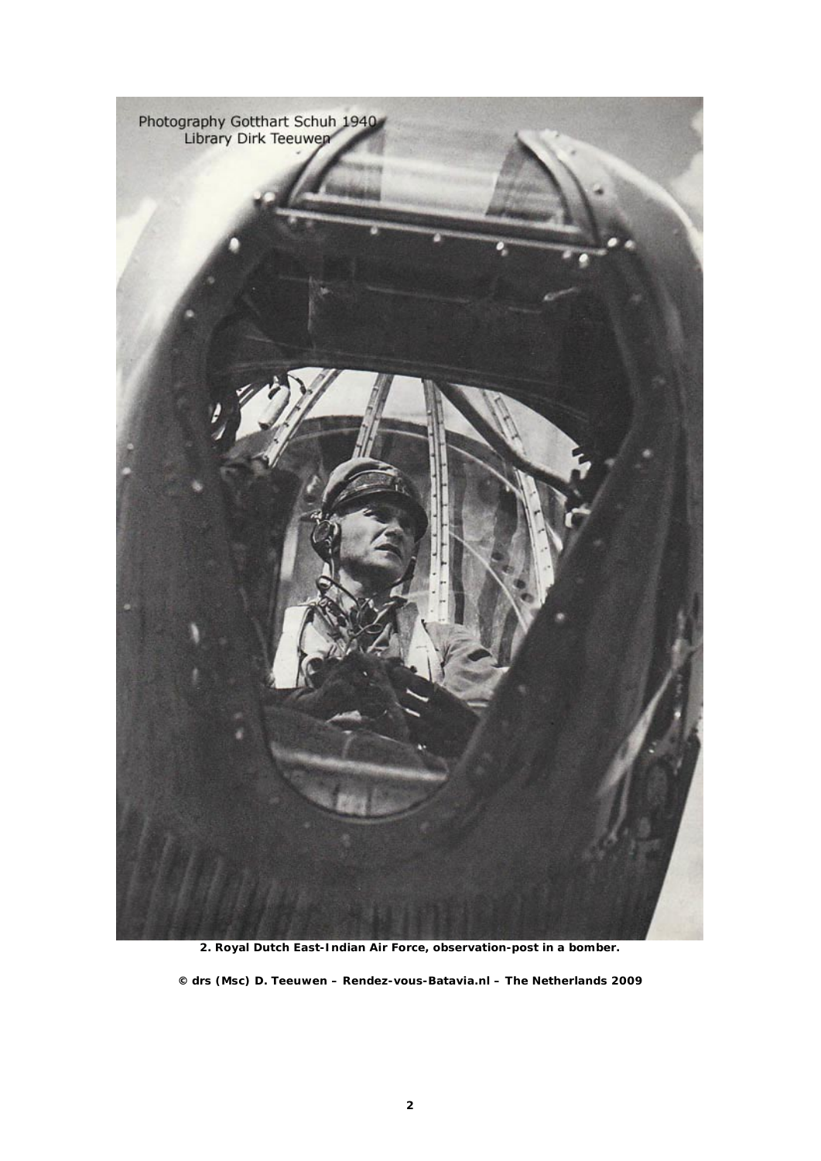

**2. Royal Dutch East-Indian Air Force, observation-post in a bomber.**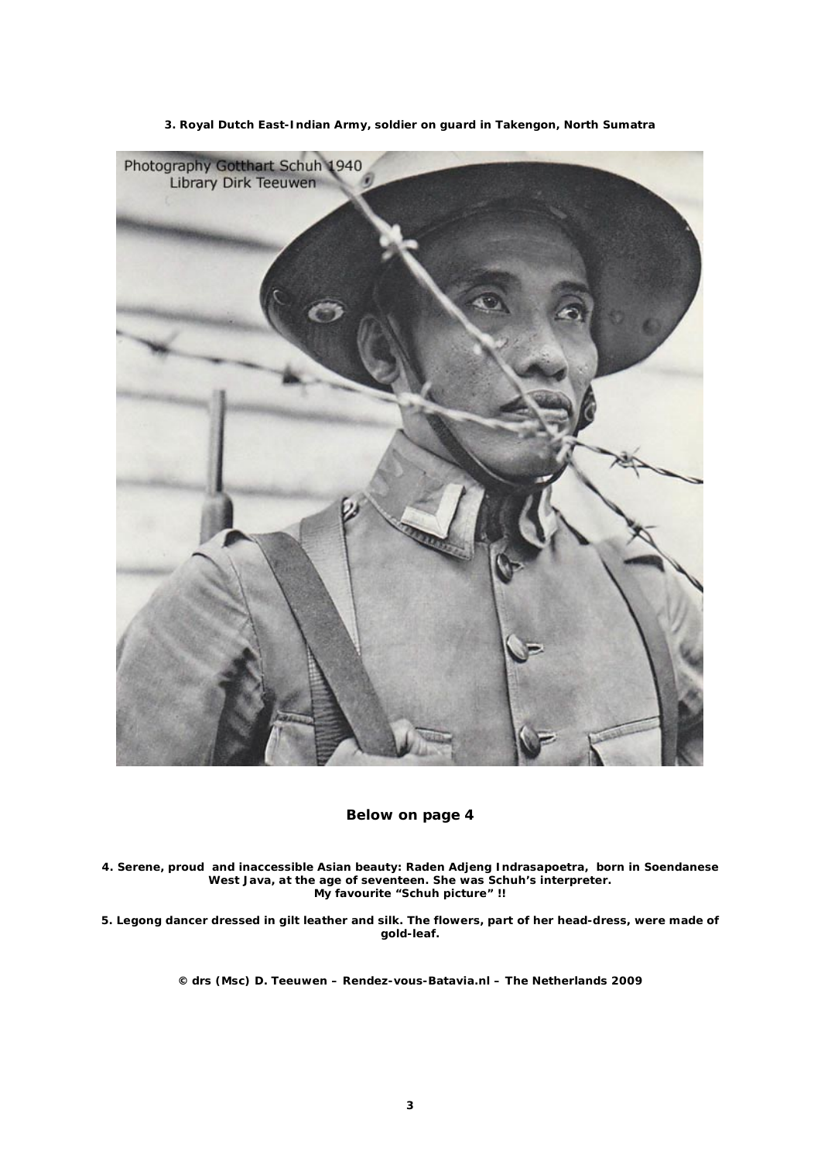

**3. Royal Dutch East-Indian Army, soldier on guard in Takengon, North Sumatra**

**Below on page 4**

**4. Serene, proud and inaccessible Asian beauty: Raden Adjeng Indrasapoetra, born in Soendanese West Java, at the age of seventeen. She was Schuh's interpreter. My favourite "Schuh picture" !!**

**5. Legong dancer dressed in gilt leather and silk. The flowers, part of her head-dress, were made of gold-leaf.**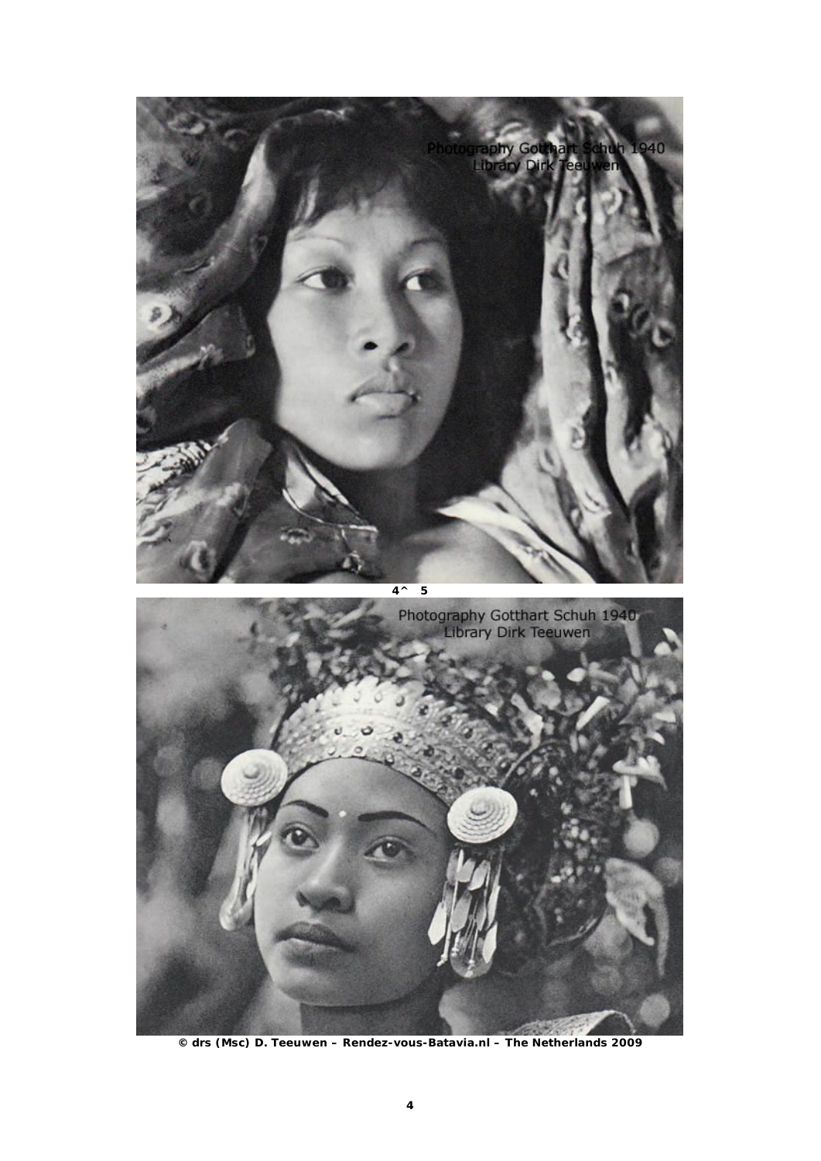

**© drs (Msc) D. Teeuwen – Rendez-vous-Batavia.nl – The Netherlands 2009**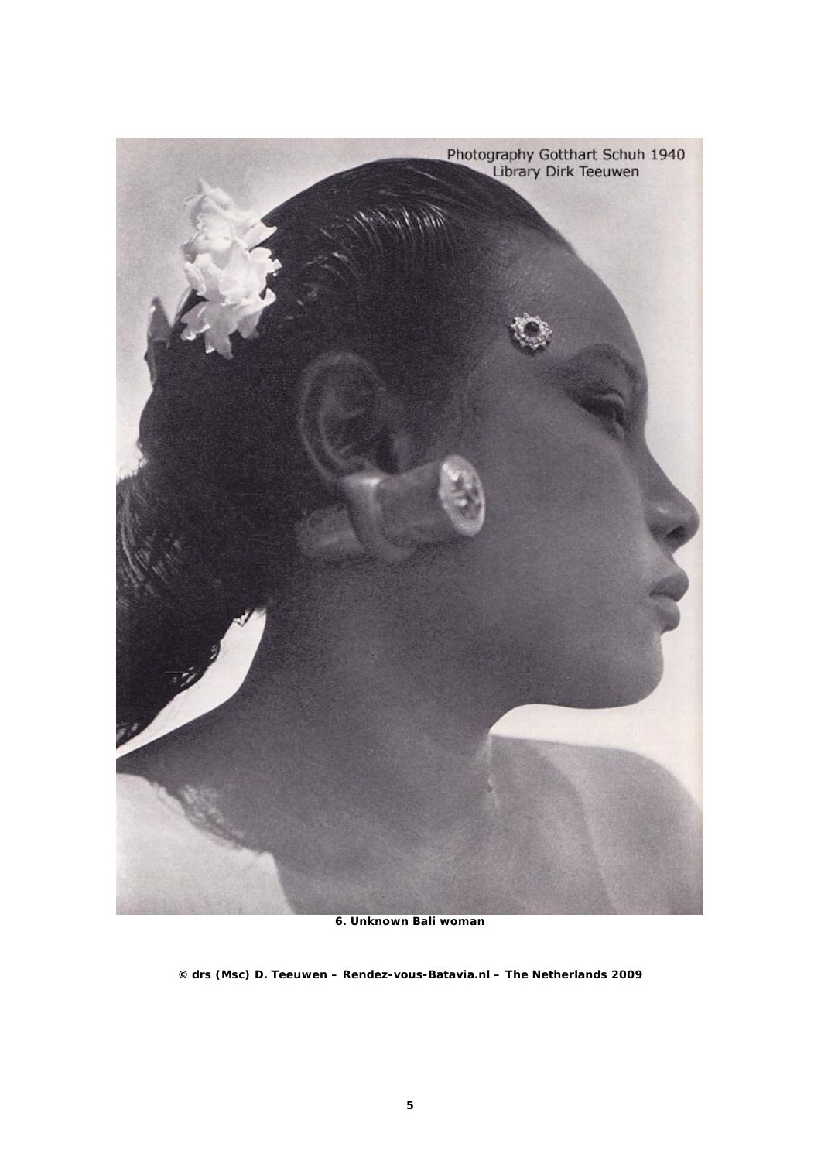

**6. Unknown Bali woman**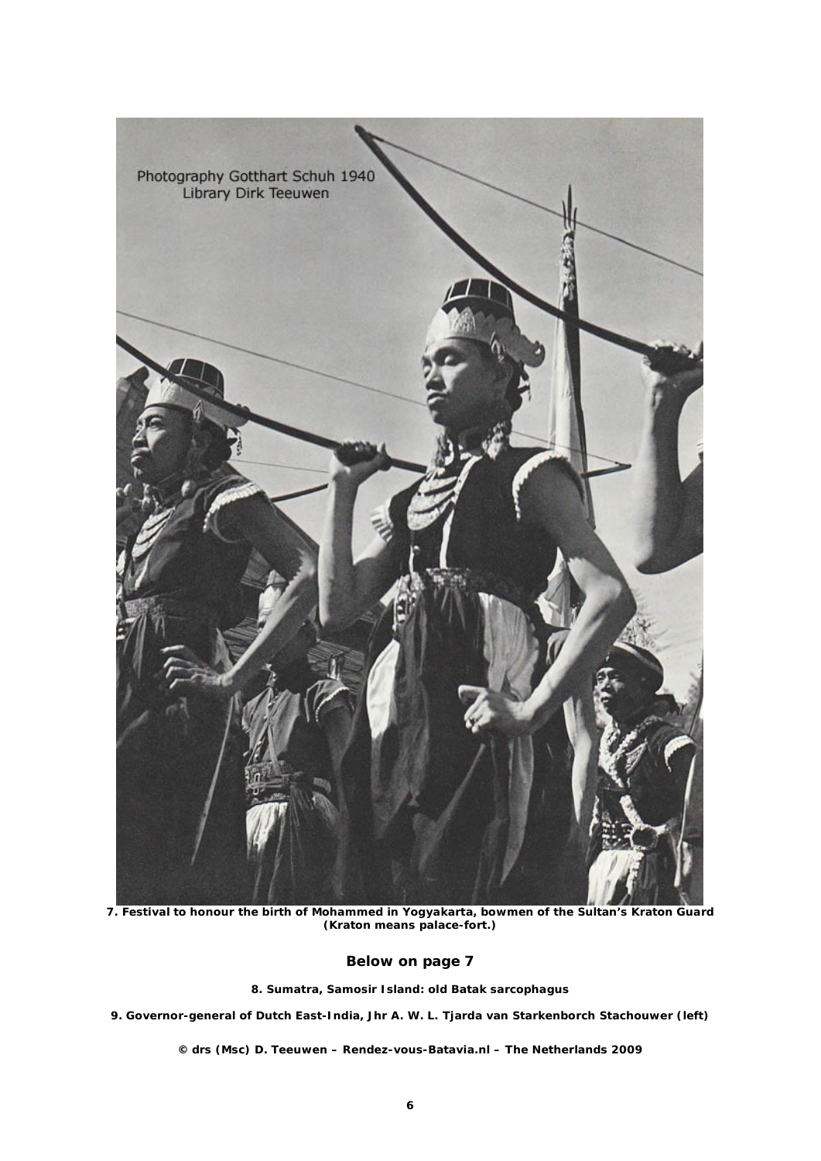

**7. Festival to honour the birth of Mohammed in Yogyakarta, bowmen of the Sultan's Kraton Guard (Kraton means palace-fort.)**

# **Below on page 7**

**8. Sumatra, Samosir Island: old Batak sarcophagus**

**9. Governor-general of Dutch East-India, Jhr A. W. L. Tjarda van Starkenborch Stachouwer (left)**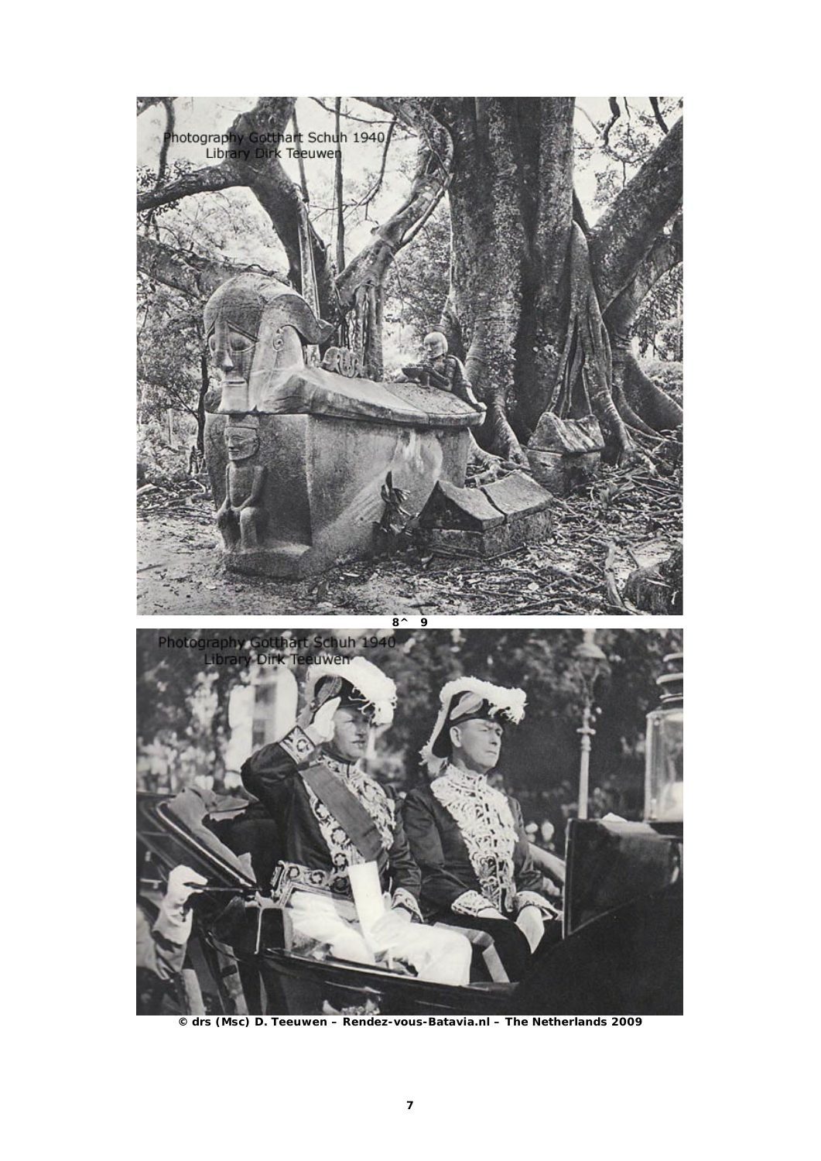

**© drs (Msc) D. Teeuwen – Rendez-vous-Batavia.nl – The Netherlands 2009**